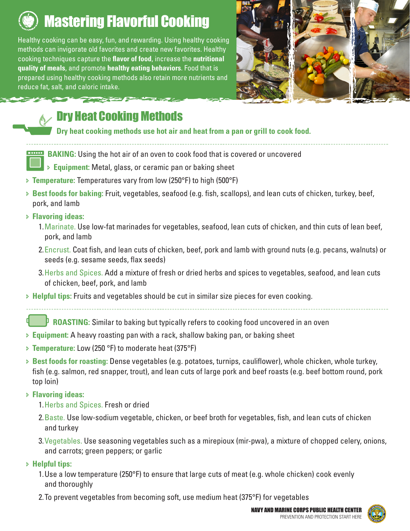

# Mastering Flavorful Cooking

Healthy cooking can be easy, fun, and rewarding. Using healthy cooking methods can invigorate old favorites and create new favorites. Healthy cooking techniques capture the **flavor of food**, increase the **nutritional quality of meals**, and promote **healthy eating behaviors**. Food that is prepared using healthy cooking methods also retain more nutrients and reduce fat, salt, and caloric intake.



## Dry Heat Cooking Methods

**Dry heat cooking methods use hot air and heat from a pan or grill to cook food.** 

**BAKING:** Using the hot air of an oven to cook food that is covered or uncovered

Ð **Equipment:** Metal, glass, or ceramic pan or baking sheet

- Ð **Temperature:** Temperatures vary from low (250°F) to high (500°F)
- Ð **Best foods for baking:** Fruit, vegetables, seafood (e.g. fish, scallops), and lean cuts of chicken, turkey, beef, pork, and lamb
- Ð **Flavoring ideas:**
	- 1.Marinate. Use low-fat marinades for vegetables, seafood, lean cuts of chicken, and thin cuts of lean beef, pork, and lamb
	- 2.Encrust. Coat fish, and lean cuts of chicken, beef, pork and lamb with ground nuts (e.g. pecans, walnuts) or seeds (e.g. sesame seeds, flax seeds)
	- 3.Herbs and Spices. Add a mixture of fresh or dried herbs and spices to vegetables, seafood, and lean cuts of chicken, beef, pork, and lamb
- Ð **Helpful tips:** Fruits and vegetables should be cut in similar size pieces for even cooking.

**ROASTING:** Similar to baking but typically refers to cooking food uncovered in an oven

- Ð **Equipment:** A heavy roasting pan with a rack, shallow baking pan, or baking sheet
- Ð **Temperature:** Low (250 °F) to moderate heat (375°F)
- Ð **Best foods for roasting:** Dense vegetables (e.g. potatoes, turnips, cauliflower), whole chicken, whole turkey, fish (e.g. salmon, red snapper, trout), and lean cuts of large pork and beef roasts (e.g. beef bottom round, pork top loin)

#### Ð **Flavoring ideas:**

- 1.Herbs and Spices. Fresh or dried
- 2.Baste. Use low-sodium vegetable, chicken, or beef broth for vegetables, fish, and lean cuts of chicken and turkey
- 3.Vegetables. Use seasoning vegetables such as a mirepioux (mir-pwa), a mixture of chopped celery, onions, and carrots; green peppers; or garlic
- Ð **Helpful tips:**
	- 1.Use a low temperature (250°F) to ensure that large cuts of meat (e.g. whole chicken) cook evenly and thoroughly
	- 2.To prevent vegetables from becoming soft, use medium heat (375°F) for vegetables



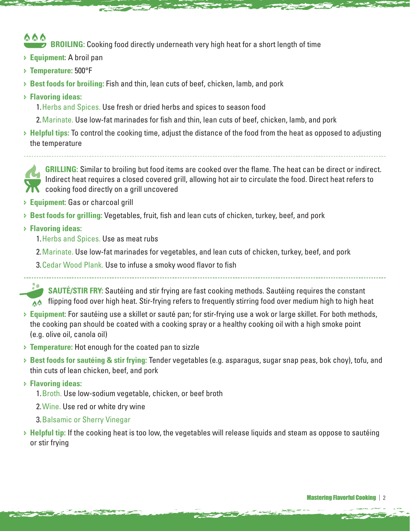#### 6 6 6 **BROILING:** Cooking food directly underneath very high heat for a short length of time

- Ð **Equipment:** A broil pan
- Ð **Temperature:** 500°F
- Ð **Best foods for broiling:** Fish and thin, lean cuts of beef, chicken, lamb, and pork
- Ð **Flavoring ideas:**
	- 1.Herbs and Spices. Use fresh or dried herbs and spices to season food
	- 2.Marinate. Use low-fat marinades for fish and thin, lean cuts of beef, chicken, lamb, and pork
- Ð **Helpful tips:** To control the cooking time, adjust the distance of the food from the heat as opposed to adjusting the temperature



**GRILLING:** Similar to broiling but food items are cooked over the flame. The heat can be direct or indirect. Indirect heat requires a closed covered grill, allowing hot air to circulate the food. Direct heat refers to cooking food directly on a grill uncovered

- Ð **Equipment:** Gas or charcoal grill
- Ð **Best foods for grilling:** Vegetables, fruit, fish and lean cuts of chicken, turkey, beef, and pork
- Ð **Flavoring ideas:**
	- 1.Herbs and Spices. Use as meat rubs
	- 2.Marinate. Use low-fat marinades for vegetables, and lean cuts of chicken, turkey, beef, and pork
	- 3.Cedar Wood Plank. Use to infuse a smoky wood flavor to fish

**SAUTÉ/STIR FRY:** Sautéing and stir frying are fast cooking methods. Sautéing requires the constant flipping food over high heat. Stir-frying refers to frequently stirring food over medium high to high heat

- Ð **Equipment:** For sautéing use a skillet or sauté pan; for stir-frying use a wok or large skillet. For both methods, the cooking pan should be coated with a cooking spray or a healthy cooking oil with a high smoke point (e.g. olive oil, canola oil)
- Ð **Temperature:** Hot enough for the coated pan to sizzle
- Ð **Best foods for sautéing & stir frying:** Tender vegetables (e.g. asparagus, sugar snap peas, bok choy), tofu, and thin cuts of lean chicken, beef, and pork
- Ð **Flavoring ideas:**

**Constitution of the Constitution** 

- 1.Broth. Use low-sodium vegetable, chicken, or beef broth
- 2.Wine. Use red or white dry wine
- 3.Balsamic or Sherry Vinegar
- Ð **Helpful tip:** If the cooking heat is too low, the vegetables will release liquids and steam as oppose to sautéing or stir frying

**Contract of Contract of**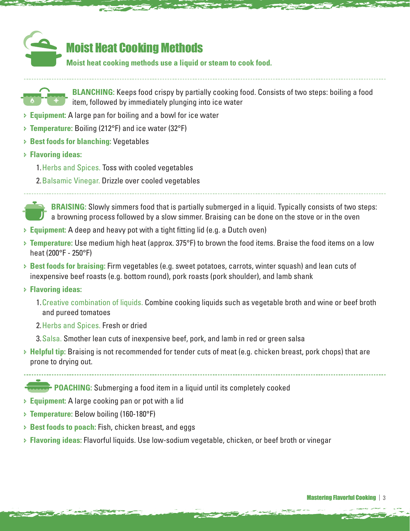

### Moist Heat Cooking Methods

**Moist heat cooking methods use a liquid or steam to cook food.**



- Ð **Equipment:** A large pan for boiling and a bowl for ice water
- Ð **Temperature:** Boiling (212°F) and ice water (32°F)
- Ð **Best foods for blanching:** Vegetables
- Ð **Flavoring ideas:**
	- 1.Herbs and Spices. Toss with cooled vegetables
	- 2.Balsamic Vinegar. Drizzle over cooled vegetables

**BRAISING:** Slowly simmers food that is partially submerged in a liquid. Typically consists of two steps: a browning process followed by a slow simmer. Braising can be done on the stove or in the oven

- Ð **Equipment:** A deep and heavy pot with a tight fitting lid (e.g. a Dutch oven)
- Ð **Temperature:** Use medium high heat (approx. 375°F) to brown the food items. Braise the food items on a low heat (200°F - 250°F)
- Ð **Best foods for braising:** Firm vegetables (e.g. sweet potatoes, carrots, winter squash) and lean cuts of inexpensive beef roasts (e.g. bottom round), pork roasts (pork shoulder), and lamb shank
- Ð **Flavoring ideas:**

**Contract of the Contract of the Contract of the Contract of the Contract of the Contract of the Contract of the Contract of the Contract of the Contract of the Contract of the Contract of the Contract of the Contract of t** 

- 1.Creative combination of liquids. Combine cooking liquids such as vegetable broth and wine or beef broth and pureed tomatoes
- 2.Herbs and Spices. Fresh or dried
- 3.Salsa. Smother lean cuts of inexpensive beef, pork, and lamb in red or green salsa
- Ð **Helpful tip:** Braising is not recommended for tender cuts of meat (e.g. chicken breast, pork chops) that are prone to drying out.

**Contract of Contract of** 

**POACHING:** Submerging a food item in a liquid until its completely cooked

- Ð **Equipment:** A large cooking pan or pot with a lid
- Ð **Temperature:** Below boiling (160-180°F)
- Ð **Best foods to poach:** Fish, chicken breast, and eggs
- Ð **Flavoring ideas:** Flavorful liquids. Use low-sodium vegetable, chicken, or beef broth or vinegar